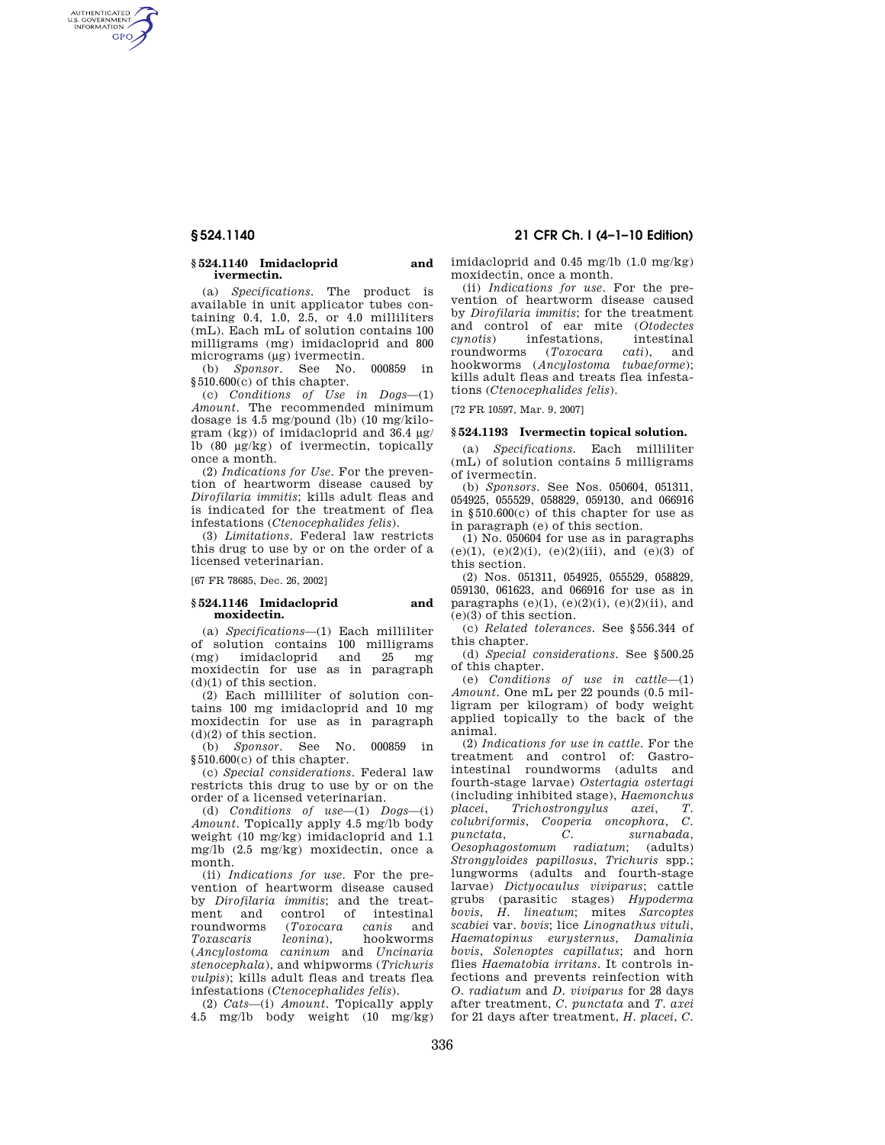AUTHENTICATED<br>U.S. GOVERNMENT<br>INFORMATION **GPO** 

#### **§ 524.1140 Imidacloprid and ivermectin.**

(a) *Specifications*. The product is available in unit applicator tubes containing  $0.4$ ,  $1.0$ ,  $2.\overline{5}$ , or  $4.0$  milliliters (mL). Each mL of solution contains 100 milligrams (mg) imidacloprid and 800 micrograms (μg) ivermectin.

(b) *Sponsor*. See No. 000859 in §510.600(c) of this chapter.

(c) *Conditions of Use in Dogs*—(1) *Amount*. The recommended minimum dosage is 4.5 mg/pound (lb) (10 mg/kilogram (kg)) of imidacloprid and 36.4 μg/ lb (80 μg/kg) of ivermectin, topically once a month.

(2) *Indications for Use*. For the prevention of heartworm disease caused by *Dirofilaria immitis*; kills adult fleas and is indicated for the treatment of flea infestations (*Ctenocephalides felis*).

(3) *Limitations*. Federal law restricts this drug to use by or on the order of a licensed veterinarian.

[67 FR 78685, Dec. 26, 2002]

## **§ 524.1146 Imidacloprid and moxidectin.**

(a) *Specifications*—(1) Each milliliter of solution contains 100 milligrams (mg) imidacloprid and 25 mg moxidectin for use as in paragraph (d)(1) of this section.

(2) Each milliliter of solution contains 100 mg imidacloprid and 10 mg moxidectin for use as in paragraph (d)(2) of this section.

(b) *Sponsor*. See No. 000859 §510.600(c) of this chapter.

(c) *Special considerations*. Federal law restricts this drug to use by or on the order of a licensed veterinarian.

(d) *Conditions of use*—(1) *Dogs*—(i) *Amount*. Topically apply 4.5 mg/lb body weight (10 mg/kg) imidacloprid and 1.1 mg/lb (2.5 mg/kg) moxidectin, once a month.

(ii) *Indications for use*. For the prevention of heartworm disease caused by *Dirofilaria immitis*; and the treatment and control of intestinal roundworms (*Toxocara canis* and *Toxascaris leonina*), hookworms (*Ancylostoma caninum* and *Uncinaria stenocephala*), and whipworms (*Trichuris vulpis*); kills adult fleas and treats flea infestations (*Ctenocephalides felis*).

(2) *Cats*—(i) *Amount*. Topically apply 4.5 mg/lb body weight  $(10 \text{ mg/kg})$ 

# **§ 524.1140 21 CFR Ch. I (4–1–10 Edition)**

imidacloprid and 0.45 mg/lb (1.0 mg/kg) moxidectin, once a month.

(ii) *Indications for use*. For the prevention of heartworm disease caused by *Dirofilaria immitis*; for the treatment and control of ear mite (*Otodectes cynotis*) infestations, intestinal  $roundworms$ hookworms (*Ancylostoma tubaeforme*); kills adult fleas and treats flea infestations (*Ctenocephalides felis*).

[72 FR 10597, Mar. 9, 2007]

## **§ 524.1193 Ivermectin topical solution.**

(a) *Specifications.* Each milliliter (mL) of solution contains 5 milligrams of ivermectin.

(b) *Sponsors.* See Nos. 050604, 051311, 054925, 055529, 058829, 059130, and 066916 in §510.600(c) of this chapter for use as in paragraph (e) of this section.

 $(1)$  No. 050604 for use as in paragraphs  $(e)(1)$ ,  $(e)(2)(i)$ ,  $(e)(2)(iii)$ , and  $(e)(3)$  of this section.

(2) Nos. 051311, 054925, 055529, 058829, 059130, 061623, and 066916 for use as in paragraphs  $(e)(1)$ ,  $(e)(2)(i)$ ,  $(e)(2)(ii)$ , and (e)(3) of this section.

(c) *Related tolerances.* See §556.344 of this chapter.

(d) *Special considerations*. See §500.25 of this chapter.

(e) *Conditions of use in cattle*—(1) *Amount*. One mL per 22 pounds (0.5 milligram per kilogram) of body weight applied topically to the back of the animal.

(2) *Indications for use in cattle*. For the treatment and control of: Gastrointestinal roundworms (adults and fourth-stage larvae) *Ostertagia ostertagi*  (including inhibited stage), *Haemonchus placei*, *Trichostrongylus axei*, *T. colubriformis*, *Cooperia oncophora*, *C. punctata*, *C. surnabada*, *Oesophagostomum radiatum*; (adults) *Strongyloides papillosus*, *Trichuris* spp.; lungworms (adults and fourth-stage larvae) *Dictyocaulus viviparus*; cattle grubs (parasitic stages) *Hypoderma bovis*, *H. lineatum*; mites *Sarcoptes scabiei* var. *bovis*; lice *Linognathus vituli*, *Haematopinus eurysternus*, *Damalinia bovis*, *Solenoptes capillatus*; and horn flies *Haematobia irritans*. It controls infections and prevents reinfection with *O. radiatum* and *D. viviparus* for 28 days after treatment, *C. punctata* and *T. axei*  for 21 days after treatment, *H. placei*, *C.*